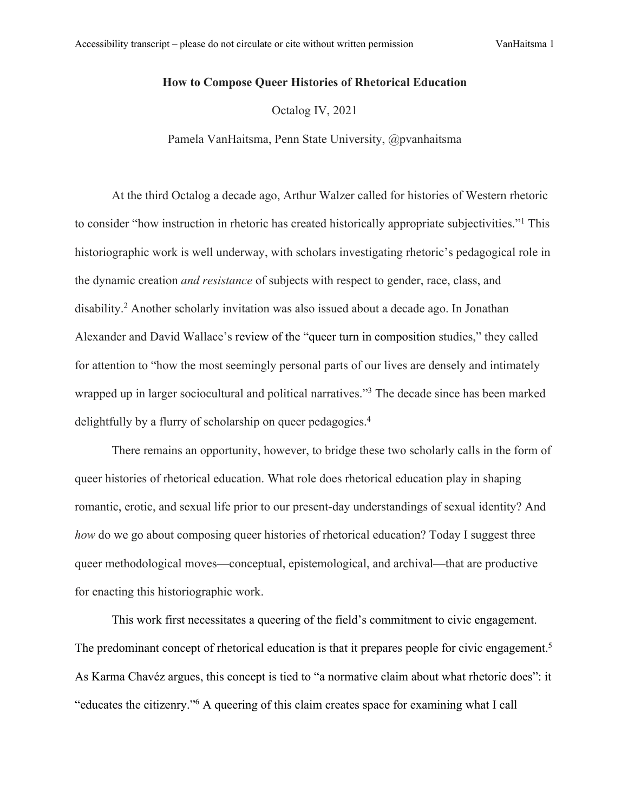## **How to Compose Queer Histories of Rhetorical Education**

Octalog IV, 2021

Pamela VanHaitsma, Penn State University, @pvanhaitsma

At the third Octalog a decade ago, Arthur Walzer called for histories of Western rhetoric to consider "how instruction in rhetoric has created historically appropriate subjectivities."1 This historiographic work is well underway, with scholars investigating rhetoric's pedagogical role in the dynamic creation *and resistance* of subjects with respect to gender, race, class, and disability.2 Another scholarly invitation was also issued about a decade ago. In Jonathan Alexander and David Wallace's review of the "queer turn in composition studies," they called for attention to "how the most seemingly personal parts of our lives are densely and intimately wrapped up in larger sociocultural and political narratives."<sup>3</sup> The decade since has been marked delightfully by a flurry of scholarship on queer pedagogies.<sup>4</sup>

There remains an opportunity, however, to bridge these two scholarly calls in the form of queer histories of rhetorical education. What role does rhetorical education play in shaping romantic, erotic, and sexual life prior to our present-day understandings of sexual identity? And *how* do we go about composing queer histories of rhetorical education? Today I suggest three queer methodological moves—conceptual, epistemological, and archival—that are productive for enacting this historiographic work.

This work first necessitates a queering of the field's commitment to civic engagement. The predominant concept of rhetorical education is that it prepares people for civic engagement.<sup>5</sup> As Karma Chavéz argues, this concept is tied to "a normative claim about what rhetoric does": it "educates the citizenry."6 A queering of this claim creates space for examining what I call